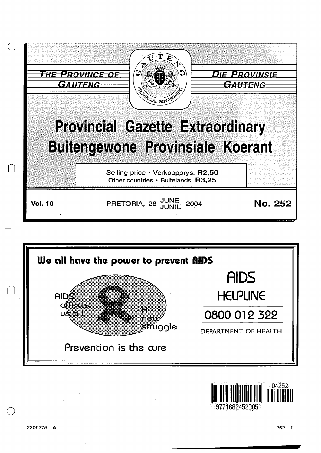





9771682452005

n

 $\bigcirc$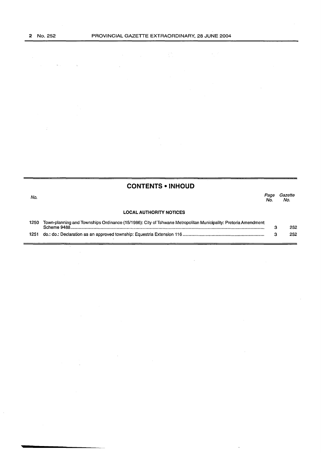$\mathcal{A}^{\text{max}}_{\text{max}}$ 

 $\mathbb{R}^2$ 

 $\mathcal{L}_{\mathcal{A}}$ 

 $\bar{z}$ 

 $\frac{1}{2}$  :

 $\hat{A}$ 

|      | <b>CONTENTS • INHOUD</b>                                                                                                      |             |                |
|------|-------------------------------------------------------------------------------------------------------------------------------|-------------|----------------|
| No.  |                                                                                                                               | Page<br>No. | Gazette<br>No. |
|      | <b>LOCAL AUTHORITY NOTICES</b>                                                                                                |             |                |
| 1250 | Town-planning and Townships Ordinance (15/1986): City of Tshwane Metropolitan Municipality: Pretoria Amendment<br>Scheme 9488 | з           | 252            |
| 1251 |                                                                                                                               | з           | 252            |

 $\bar{z}$ 

 $\ddot{\phantom{a}}$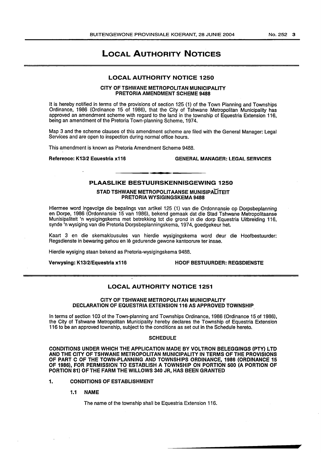# LOCAL AUTHORITY NOTICES

# LOCAL AUTHORITY NOTICE 1250

# CITY OF TSHWANE METROPOLITAN MUNICIPALITY PRETORIA AMENDMENT SCHEME 9488

It is hereby notified in terms of the provisions of section 125 (1) of the Town Planning and Townships Ordinance, 1986 (Ordinance 15 of 1986), that the City of Tshwane Metropolitan Municipality has approved an amendment scheme with regard to the land in the township of Equestria Extension 116, being an amendment of the Pretoria Town-planning Scheme, 1974.

Map 3 and the scheme clauses of this amendment scheme are filed with the General Manager: Legal Services and are open to inspection during normal office hours.

This amendment is known as Pretoria Amendment Scheme 9488.

Reference: K13/2 Equestria x116 GENERAL MANAGER: LEGAL SERVICES

# PLAASLIKE BESTUURSKENNISGEWING 1250

# STAD TSHWANE METROPOLITAANSE MUNISIPALITEIT PRETORIA WYSIGINGSKEMA 9488

Hiermee word ingevolge die bepalings van artikel 125 (1) van die Ordonnansie op Dorpsbeplanning en Dorpe, 1986 (Ordonnansie 15 van 1986), bekend gemaak dat die Stad Tshwane Metropolitaanse Munisipaliteit 'n wysigingskema met betrekking tot die grond in die dorp Equestria Uitbreiding 116, synde 'n wysiging van die Pretoria Dorpsbeplanningskema, 1974, goedgekeur het.

Kaart 3 en die skemaklousules van hierdie wysigingskema word deur die Hoofbestuurder: Regsdienste in bewaring gehou en lê gedurende gewone kantoorure ter insae.

Hierdie wysiging staan bekend as Pretoria-wysigingskema 9488.

Verwysing: K13/2/Equestria x116 HOOF BESTUURDER: REGSDIENSTE

# LOCAL AUTHORITY NOTICE 1251

# CITY OF TSHWANE METROPOLITAN MUNICIPALITY DECLARATION OF EQUESTRIA EXTENSION 116 AS APPROVED TOWNSHIP

In terms of section 103 of the Town-planning and Townships Ordinance, 1986 (Ordinance 15 of 1986), the City of Tshwane Metropolitan Municipality hereby declares the Township of Equestria Extension 116 to be an approved township, subject to the conditions as set out in the Schedule hereto.

### **SCHEDULE**

CONDITIONS UNDER WHICH THE APPLICATION MADE BY VOLTRON BELEGGINGS (PTY) LTD AND THE CITY OF TSHWANE METROPOLITAN MUNICIPALITY IN TERMS OF THE PROVISIONS OF PART C OF THE TOWN-PLANNING AND TOWNSHIPS ORDINANCE, 1986 (ORDINANCE 15 OF 1986), FOR PERMISSION TO ESTABLISH A TOWNSHIP ON PORTION 500 (A PORTION OF PORTION 81) OF THE FARM THE WILLOWS 340 JR, HAS BEEN GRANTED

# 1. CONDITIONS OF ESTABLISHMENT

1.1 NAME

The name of the township shall be Equestria Extension 116.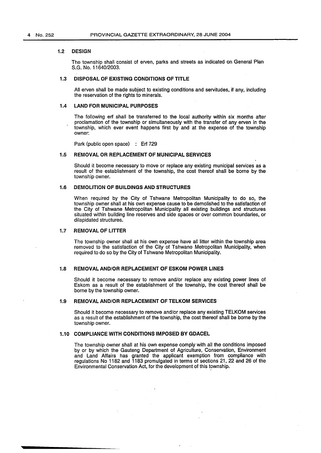### 1.2 DESIGN

The township shall consist of erven, parks and streets as indicated on General Plan S.G. No. 11640/2003:

### 1.3 DISPOSAL OF EXISTING CONDITIONS OF TITLE

All erven shall be made subject to existing conditions and servitudes, if any, including the reservation of the rights to minerals.

# 1.4 LAND FOR MUNICIPAL PURPOSES

The following erf shall be transferred to the local authority within six months after proclamation of the township or simultaneously with the transfer of any erven in the township, which ever event happens first by and at the expense of the township owner:

Park (public open space) : Erf 729

### 1.5 REMOVAL OR REPLACEMENT OF MUNICIPAL SERVICES

Should it become necessary to move or replace any existing municipal services as a result of the establishment of the township, the cost thereof shall be borne by the township owner.

### 1.6 DEMOLITION OF BUILDINGS AND STRUCTURES

When required by the City of Tshwane Metropolitan Municipality to do so, the township owner shall at his own expense cause to be demolished to the satisfaction of the City of Tshwane Metropolitan Municipality all existing buildings and structures situated within building line reserves and side spaces or over common boundaries, or dilapidated structures.

#### 1.7 REMOVAL OF LITTER

The township owner shall at his own expense have all litter within the township area removed to the satisfaction of the City of Tshwane Metropolitan Municipality, when required to do so by the City of Tshwane Metropolitan Municipality.

### 1.8 REMOVAL AND/OR REPLACEMENT OF ESKOM POWER LINES

Should it become necessary to remove and/or replace any existing power lines of Eskom as a result of the establishment of the township, the cost thereof shall be borne by the township owner.

# 1.9 REMOVAL AND/OR REPLACEMENT OF TELKOM SERVICES

Should it become necessary to remove and/or replace any existing TELKOM services as a result of the establishment of the township, the cost thereof shall be borne by the township owner.

### 1.10 COMPLIANCE WITH CONDITIONS IMPOSED BY GDACEL

The township owner shall at his own expense comply with all the conditions imposed by or by which the Gauteng Department of Agriculture, Conservation, Environment and Land Affairs has granted the applicant exemption from compliance with regulations No 1182 and 1183 promulgated in terms of sections 21, 22 and 26 of the Environmental Conservation Act, for the development of this township.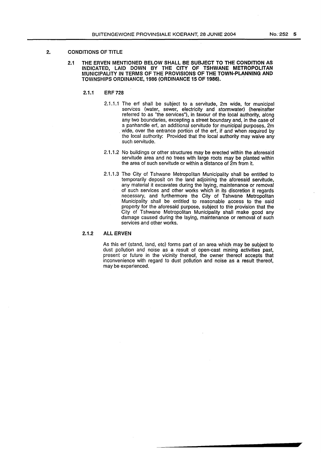# 2. CONDITIONS OF TITLE

# 2.1 THE ERVEN MENTIONED BELOW SHALL BE SUBJECT TO THE CONDITION AS INDICATED, LAID DOWN BY THE CITY OF TSHWANE METROPOLITAN MUNICIPALITY IN TERMS OF THE PROVISIONS OF THE TOWN-PLANNING AND TOWNSHIPS ORDINANCE, 1986 (ORDINANCE 15 OF 1986). .

- 2.1.1 ERF 728
	- 2.1.1.1 The erf shall be subject to a servitude, 2m wide, for municipal services (water, sewer, electricity and stormwater) (hereinafter referred to as "the services"), in favour of the local authority, along any two boundaries, excepting a street boundary and, in the case of a panhandle erf, an additional servitude for municipal purposes, 2m wide, over the entrance portion of the erf, if and when required by the local authority: Provided that the local authority may waive any such servitude.
	- 2.1.1.2 No buildings or other structures may be erected within the aforesaid servitude area and no trees with large roots may be planted within the area of such servitude or within a distance of 2m from it.
	- 2.1.1.3 The City of Tshwane Metropolitan Municipality shall be entitled to temporarily deposit on the land adjoining the aforesaid servitude, any material it excavates during the laying, maintenance or removal of such services and other works which in its discretion it regards necessary, and furthermore the City of Tshwane Metropolitan Municipality shall be entitled to reasonable access to the said property for the aforesaid purpose, subject to the provision that the City of Tshwane Metropolitan Municipality shall make good any damage caused during the laying, maintenance or removal of such services and other works.

# 2.1.2 ALL ERVEN

As this erf (stand, land, etc) forms part of an area which may be subject to dust pollution and noise as a result of open-cast mining activities past, present or future in the vicinity thereof, the owner thereof accepts that inconvenience with regard to dust pollution and noise as a result thereof, may be experienced.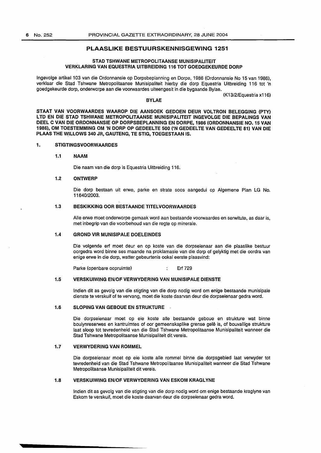# **PLAASLIKE BESTUURSKENNISGEWING 1251**

# **STAD TSHWANE METROPOLITAANSE MUNISIPALITEIT VERKLARING VAN EQUESTRIA UITBREIDING 116 TOT GOEDGEKEURDE DORP**

Ingevolge artikel 103 van die Ordonnansie op Dorpsbeplanning en Dorpe, 1986 (Ordonnansie No 15 van 1986), verklaar die Stad Tshwane Metropolitaanse Munisipaliteit hierby die dorp Equestria Uitbreiding 116 tot 'n goedgekeurde dorp, onderworpe aan die voorwaardes uiteengesit in die bygaande Bylae.

#### **BYLAE**

(K13/2/Equestria x116)

**STAAT VAN VOORWAARDES WAAROP DIE AANSOEK GEDOEN DEUR VOLTRON BELEGGING (PTY) LTD EN DIE STAD TSHWANE METROPOLITAANSE MUNISIPALITEIT INGEVOLGE DIE BEPALINGS VAN DEEL C VAN DIE ORDONNANSIE OP DORPSBEPLANNING EN DORPE, 1986 (ORDONNANSIE N0.15 VAN**  1986), OM TOESTEMMING OM 'N DORP OP GEDEELTE 500 ('N GEDEELTE VAN GEDEELTE 81) VAN DIE **PLAAS THE WILLOWS 340 JR, GAUTENG, TE STIG, TOEGESTAAN** IS.

# **1. STIGTINGSVOORWAARDES**

# **1.1 NAAM**

Die naam van die dorp is Equestria Uitbreiding 116.

#### **1.2 ONTWERP**

Die dorp bestaan uit erwe, parke en strate soos aangedui op Algemene Plan LG No. 11640/2003.

# **1.3 BESKIKKING OOR BESTAANDE TITELVOORWAARDES**

Aile erwe moet onderworpe gemaak word aan bestaande voorwaardes en serwitute, as daar is, met inbegrip van die voorbehoud van die regte op minerale.

# **1.4 GROND VIR MUNISIPALE DOELEINDES**

Die volgende erf moet deur en op koste van die dorpseienaar aan die plaaslike bestuur oorgedra word binne ses maande na proklamasie van die dorp of gelyktig met die oordra van enige erwe in die dorp, watter gebeurtenis ookal eerste plaasvind:

Parke (openbare oopruimte) : Erf 729

### **1.5 VERSKUIWING EN/OF VERWYDERING VAN MUNISIPALE DIENSTE**

Indian dit as gevolg van die stigting van die dorp nodig word om enige bestaande munisipale dienste te verskuif of te vervang, moet die koste daarvan deur die dorpseienaar gedra word.

# **1.6 SLOPING VAN GEBOUE EN STRUKTURE**

Die dorpseienaar moet op eie koste aile bestaande geboue en strukture wat binne boulynreserwes en kantruimtes of oor gemeenskaplike grense gele is, of bouvallige strukture laat sloop tot tevredenheid van die Stad Tshwane Metropolitaanse Munisipaliteit wanneer die Stad Tshwane Metropolitaanse Munisipaliteit dit vereis.

# **1.7 VERWYDERING VAN ROMMEL**

Die dorpseienaar moet op eie koste aile rommel binne die dorpsgebied laat verwyder tot tevredenheid van die Stad Tshwane Metropolitaanse Munisipaliteit wanneer die Stad Tshwane Metropolitaanse Munisipaliteit dit vereis.

# **1.8 VERSKUIWING EN/OF VERWYDERING VAN ESKOM KRAGLYNE**

Indian dit as gevolg van die stigting van die dorp nodig word om enige bestaande kraglyne van Eskom te verskuif, moet die koste daarvan deur die dorpseienaar gedra word.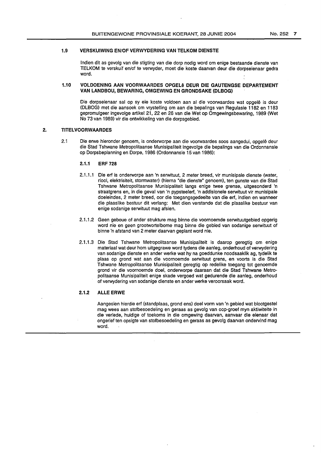# **1.9 VERSKUIWING EN/OF VERWYDERING VAN TELKOM DIENSTE**

lndien dit as gevolg van die stigting van die dorp nodig word om enige bestaande dienste van TELKOM te verskuif en/of te verwyder, meet die koste daarvan deur die dorpseienaar gedra word.

# **1.10 VOLDOENING AAN VOORWAARDES OPGELe DEUR DIE GAUTENGSE DEPARTEMENT VAN LANDBOU, BEWARING, OMGEWING EN GRONDSAKE (DLBOG)**

Die dorpseienaar sal op sy eie koste voldoen aan al die voorwaardes wat opgelê is deur (DLBOG) met die aansoek om vrystelling om aan die bepalings van Regulasie 1182 en 1183 gepromulgeer ingevolge artikel 21, 22 en 26 van die Wet op Omgewingsbewaring, 1989 (Wet No 73 van 1989) vir die ontwikkeling van die dorpsgebied.

# **2. TITELVOORWAARDES**

2.1 Die erwe hieronder genoem, is onderworpe aan die voorwaardes soos aangedui, opgele deur die Stad Tshwane Metropolitaanse Munisipaliteit ingevolge die bepalings van die Ordonnansie op Dorpsbeplanning en Dorpe, 1986 (Ordonnansie 15 van 1986):

# **2.1.1 ERF 728**

- 2.1.1.1 Die erf is onderworpe aan 'n serwituut, 2 meter breed, vir munisipale dienste (water, riool, elektrisiteit, stormwater) (hierna "die dienste" genoem), ten gunste van die Stad Tshwane Metropolitaanse Munisipaliteit langs enige twee grense, uitgesonderd 'n straatgrens en, in die geval van 'n pypsteelerf, 'n addisionele serwituut vir munisipale doeleindes, 2 meter breed, oor die toegangsgedeelte van die erf, indien en wanneer die plaaslike bestuur dit verlang: Met dien verstande dat die plaaslike bestuur van enige sodanige serwituut mag afsien.
- 2.1.1.2 Geen geboue of ander strukture mag binne die voornoemde serwituutgebied opgerig word nie en geen grootwortelbome mag binne die gebied van sodanige serwituut of binne 'n afstand van 2 meter daarvan geplant word nie.
- 2.1.1.3 Die Stad Tshwane Metropolitaanse Munisipaliteit is daarop geregtig om enige materiaal wat deur hom uitgegrawe word tydens die aanleg, onderhoud of verwydering van sodanige dienste en ander werke wat hy na goeddunke noodsaaklik ag, tydelik te plaas op grond wat aan die voornoemde serwituut grens, en voorts is die Stad Tshwane Metropolitaanse Munisipaliteit geregtig op redelike toegang tot genoemde grond vir die voornoemde doel, onderworpe daaraan dat die Stad Tshwane Metropolitaanse Munisipaliteit enige skade vergoed wat gedurende die aanleg, onderhoud of verwydering van sodanige dienste en ander werke veroorsaak word.

# **2.1.2 ALLE ERWE**

Aangesien hierdie erf (standplaas, grond ens) deal vorm van 'n gebied wat blootgestel mag wees aan stofbesoedeling en geraas as gevolg van oop-groef myn aktiwiteite in die verlede, huidige of toekoms in die omgewing daarvan, aanvaar die eienaar dat ongerief ten opsigte van stofbesoedeling en geraas as gevolg daarvan ondervind mag word.